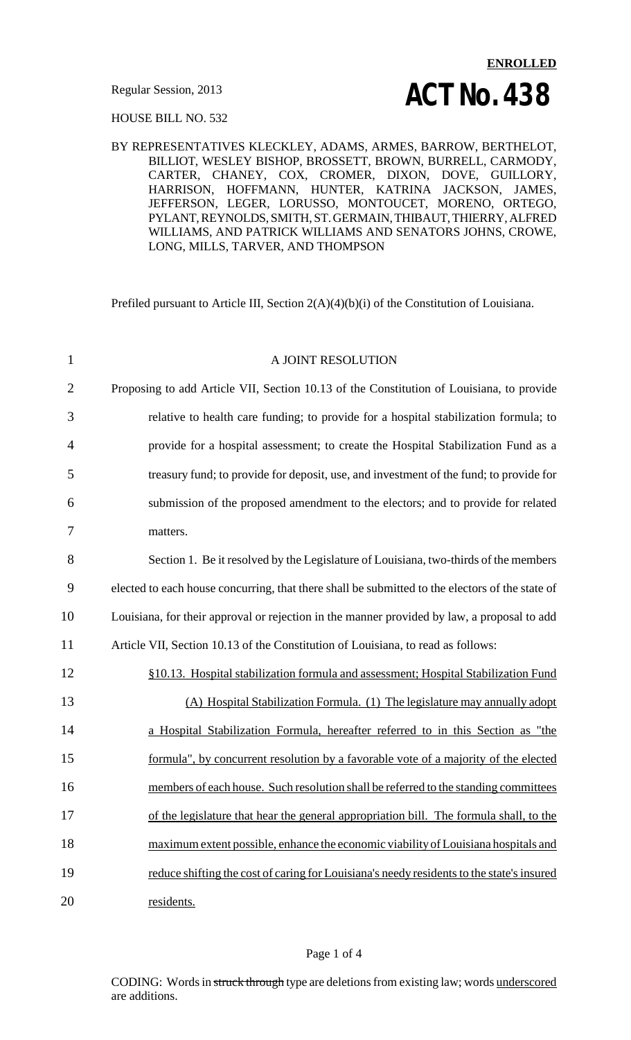HOUSE BILL NO. 532

#### BY REPRESENTATIVES KLECKLEY, ADAMS, ARMES, BARROW, BERTHELOT, BILLIOT, WESLEY BISHOP, BROSSETT, BROWN, BURRELL, CARMODY, CARTER, CHANEY, COX, CROMER, DIXON, DOVE, GUILLORY, HARRISON, HOFFMANN, HUNTER, KATRINA JACKSON, JAMES, JEFFERSON, LEGER, LORUSSO, MONTOUCET, MORENO, ORTEGO, PYLANT, REYNOLDS, SMITH, ST. GERMAIN, THIBAUT, THIERRY, ALFRED WILLIAMS, AND PATRICK WILLIAMS AND SENATORS JOHNS, CROWE, LONG, MILLS, TARVER, AND THOMPSON

Prefiled pursuant to Article III, Section 2(A)(4)(b)(i) of the Constitution of Louisiana.

| $\mathbf{1}$   | A JOINT RESOLUTION                                                                              |
|----------------|-------------------------------------------------------------------------------------------------|
| $\overline{2}$ | Proposing to add Article VII, Section 10.13 of the Constitution of Louisiana, to provide        |
| 3              | relative to health care funding; to provide for a hospital stabilization formula; to            |
| 4              | provide for a hospital assessment; to create the Hospital Stabilization Fund as a               |
| 5              | treasury fund; to provide for deposit, use, and investment of the fund; to provide for          |
| 6              | submission of the proposed amendment to the electors; and to provide for related                |
| 7              | matters.                                                                                        |
| 8              | Section 1. Be it resolved by the Legislature of Louisiana, two-thirds of the members            |
| 9              | elected to each house concurring, that there shall be submitted to the electors of the state of |
| 10             | Louisiana, for their approval or rejection in the manner provided by law, a proposal to add     |
| 11             | Article VII, Section 10.13 of the Constitution of Louisiana, to read as follows:                |
| 12             | §10.13. Hospital stabilization formula and assessment; Hospital Stabilization Fund              |
| 13             | (A) Hospital Stabilization Formula. (1) The legislature may annually adopt                      |
| 14             | a Hospital Stabilization Formula, hereafter referred to in this Section as "the                 |
| 15             | formula", by concurrent resolution by a favorable vote of a majority of the elected             |
| 16             | members of each house. Such resolution shall be referred to the standing committees             |
| 17             | of the legislature that hear the general appropriation bill. The formula shall, to the          |
| 18             | maximum extent possible, enhance the economic viability of Louisiana hospitals and              |
| 19             | reduce shifting the cost of caring for Louisiana's needy residents to the state's insured       |
| 20             | residents.                                                                                      |

#### Page 1 of 4

CODING: Words in struck through type are deletions from existing law; words underscored are additions.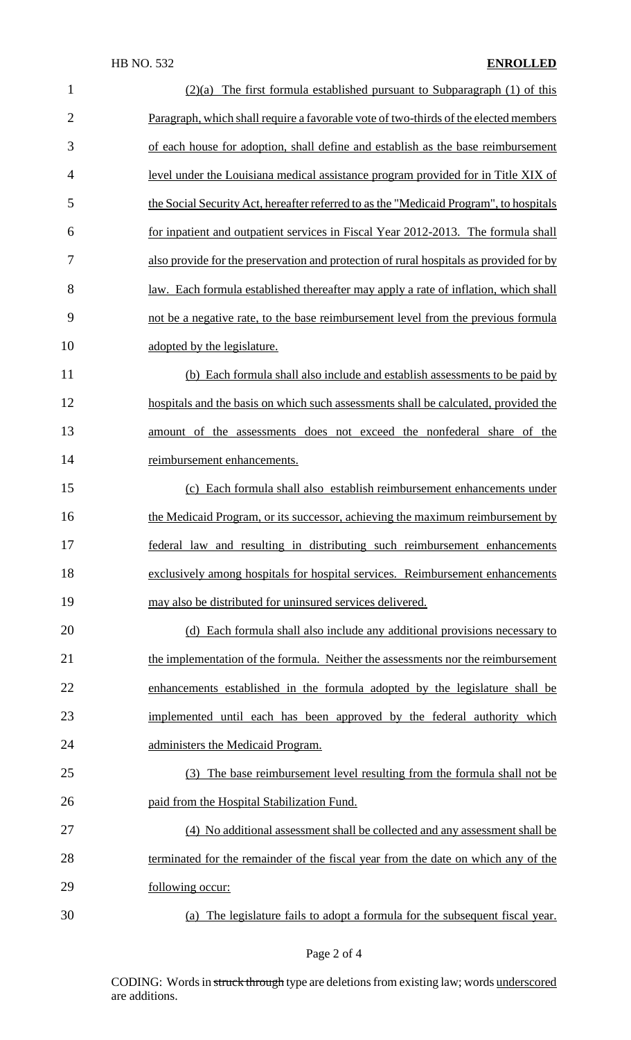### HB NO. 532 **ENROLLED**

| $\mathbf{1}$   | $(2)(a)$ The first formula established pursuant to Subparagraph (1) of this                |
|----------------|--------------------------------------------------------------------------------------------|
| $\overline{2}$ | Paragraph, which shall require a favorable vote of two-thirds of the elected members       |
| 3              | of each house for adoption, shall define and establish as the base reimbursement           |
| $\overline{4}$ | level under the Louisiana medical assistance program provided for in Title XIX of          |
| 5              | the Social Security Act, hereafter referred to as the "Medicaid Program", to hospitals     |
| 6              | for inpatient and outpatient services in Fiscal Year 2012-2013. The formula shall          |
| 7              | also provide for the preservation and protection of rural hospitals as provided for by     |
| 8              | <u>law. Each formula established thereafter may apply a rate of inflation, which shall</u> |
| 9              | not be a negative rate, to the base reimbursement level from the previous formula          |
| 10             | adopted by the legislature.                                                                |
| 11             | (b) Each formula shall also include and establish assessments to be paid by                |
| 12             | hospitals and the basis on which such assessments shall be calculated, provided the        |
| 13             | amount of the assessments does not exceed the nonfederal share of the                      |
| 14             | reimbursement enhancements.                                                                |
| 15             | (c) Each formula shall also establish reimbursement enhancements under                     |
| 16             | the Medicaid Program, or its successor, achieving the maximum reimbursement by             |
| 17             | federal law and resulting in distributing such reimbursement enhancements                  |
| 18             | exclusively among hospitals for hospital services. Reimbursement enhancements              |
| 19             | may also be distributed for uninsured services delivered.                                  |
| 20             | (d) Each formula shall also include any additional provisions necessary to                 |
| 21             | the implementation of the formula. Neither the assessments nor the reimbursement           |
| 22             | enhancements established in the formula adopted by the legislature shall be                |
| 23             | implemented until each has been approved by the federal authority which                    |
| 24             | administers the Medicaid Program.                                                          |
| 25             | (3) The base reimbursement level resulting from the formula shall not be                   |
| 26             | paid from the Hospital Stabilization Fund.                                                 |
| 27             | (4) No additional assessment shall be collected and any assessment shall be                |
| 28             | terminated for the remainder of the fiscal year from the date on which any of the          |
| 29             | following occur:                                                                           |
| 30             | (a) The legislature fails to adopt a formula for the subsequent fiscal year.               |

# Page 2 of 4

CODING: Words in struck through type are deletions from existing law; words underscored are additions.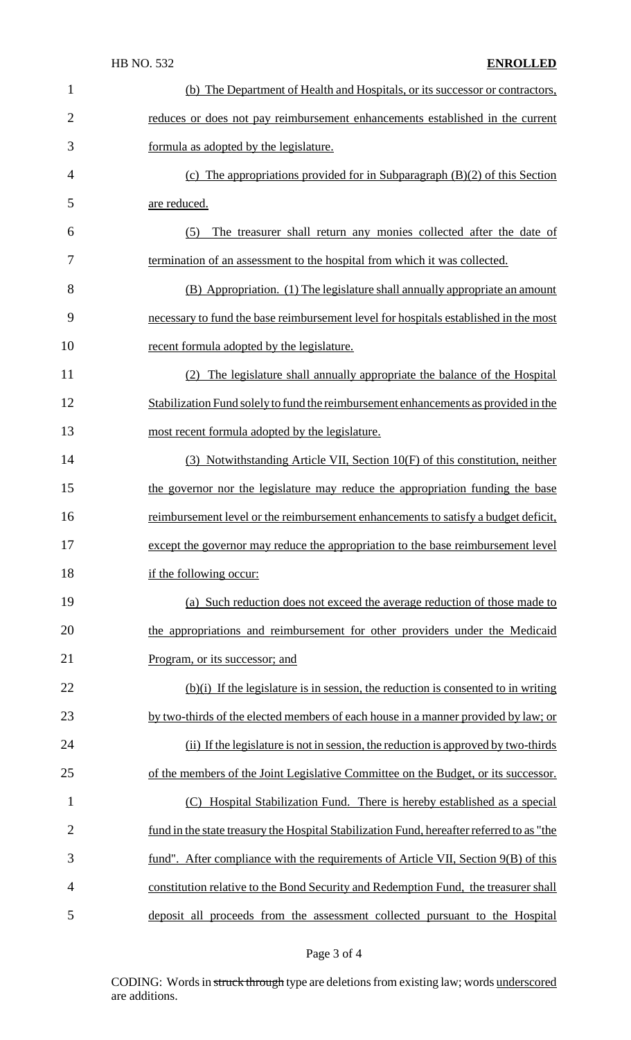| $\mathbf 1$    | (b) The Department of Health and Hospitals, or its successor or contractors,              |
|----------------|-------------------------------------------------------------------------------------------|
| $\overline{2}$ | reduces or does not pay reimbursement enhancements established in the current             |
| 3              | formula as adopted by the legislature.                                                    |
| 4              | (c) The appropriations provided for in Subparagraph $(B)(2)$ of this Section              |
| 5              | are reduced.                                                                              |
| 6              | The treasurer shall return any monies collected after the date of<br>(5)                  |
| 7              | termination of an assessment to the hospital from which it was collected.                 |
| 8              | (B) Appropriation. (1) The legislature shall annually appropriate an amount               |
| 9              | necessary to fund the base reimbursement level for hospitals established in the most      |
| 10             | recent formula adopted by the legislature.                                                |
| 11             | The legislature shall annually appropriate the balance of the Hospital                    |
| 12             | Stabilization Fund solely to fund the reimbursement enhancements as provided in the       |
| 13             | most recent formula adopted by the legislature.                                           |
| 14             | (3) Notwithstanding Article VII, Section 10(F) of this constitution, neither              |
| 15             | the governor nor the legislature may reduce the appropriation funding the base            |
| 16             | reimbursement level or the reimbursement enhancements to satisfy a budget deficit,        |
| 17             | except the governor may reduce the appropriation to the base reimbursement level          |
| 18             | if the following occur:                                                                   |
| 19             | (a) Such reduction does not exceed the average reduction of those made to                 |
| 20             | the appropriations and reimbursement for other providers under the Medicaid               |
| 21             | Program, or its successor; and                                                            |
| 22             | $(b)(i)$ If the legislature is in session, the reduction is consented to in writing       |
| 23             | by two-thirds of the elected members of each house in a manner provided by law; or        |
| 24             | (ii) If the legislature is not in session, the reduction is approved by two-thirds        |
| 25             | of the members of the Joint Legislative Committee on the Budget, or its successor.        |
| $\mathbf{1}$   | (C) Hospital Stabilization Fund. There is hereby established as a special                 |
| $\overline{2}$ | fund in the state treasury the Hospital Stabilization Fund, hereafter referred to as "the |
| 3              | fund". After compliance with the requirements of Article VII, Section 9(B) of this        |
| 4              | constitution relative to the Bond Security and Redemption Fund, the treasurer shall       |
| 5              | deposit all proceeds from the assessment collected pursuant to the Hospital               |

# Page 3 of 4

CODING: Words in struck through type are deletions from existing law; words underscored are additions.